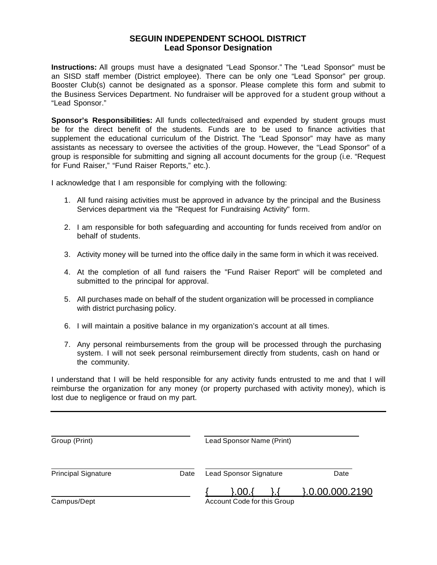## **SEGUIN INDEPENDENT SCHOOL DISTRICT Lead Sponsor Designation**

**Instructions:** All groups must have a designated "Lead Sponsor." The "Lead Sponsor" must be an SISD staff member (District employee). There can be only one "Lead Sponsor" per group. Booster Club(s) cannot be designated as a sponsor. Please complete this form and submit to the Business Services Department. No fundraiser will be approved for a student group without a "Lead Sponsor."

**Sponsor's Responsibilities:** All funds collected/raised and expended by student groups must be for the direct benefit of the students. Funds are to be used to finance activities that supplement the educational curriculum of the District. The "Lead Sponsor" may have as many assistants as necessary to oversee the activities of the group. However, the "Lead Sponsor" of a group is responsible for submitting and signing all account documents for the group (i.e. "Request for Fund Raiser," "Fund Raiser Reports," etc.).

I acknowledge that I am responsible for complying with the following:

- 1. All fund raising activities must be approved in advance by the principal and the Business Services department via the "Request for Fundraising Activity" form.
- 2. I am responsible for both safeguarding and accounting for funds received from and/or on behalf of students.
- 3. Activity money will be turned into the office daily in the same form in which it was received.
- 4. At the completion of all fund raisers the "Fund Raiser Report" will be completed and submitted to the principal for approval.
- 5. All purchases made on behalf of the student organization will be processed in compliance with district purchasing policy.
- 6. I will maintain a positive balance in my organization's account at all times.
- 7. Any personal reimbursements from the group will be processed through the purchasing system. I will not seek personal reimbursement directly from students, cash on hand or the community.

I understand that I will be held responsible for any activity funds entrusted to me and that I will reimburse the organization for any money (or property purchased with activity money), which is lost due to negligence or fraud on my part.

| Group (Print)              |      |                               | Lead Sponsor Name (Print)                  |  |                     |  |
|----------------------------|------|-------------------------------|--------------------------------------------|--|---------------------|--|
| <b>Principal Signature</b> | Date | <b>Lead Sponsor Signature</b> |                                            |  | Date                |  |
| Campus/Dept                |      |                               | $\set{.00}$<br>Account Code for this Group |  | $\{0.00.000.2190\}$ |  |